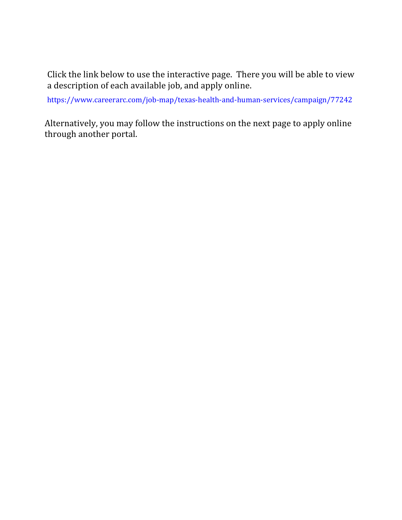Click the link below to use the interactive page. There you will be able to view a description of each available job, and apply online.

<https://www.careerarc.com/job-map/texas-health-and-human-services/campaign/77242>

Alternatively, you may follow the instructions on the next page to apply online through another portal.